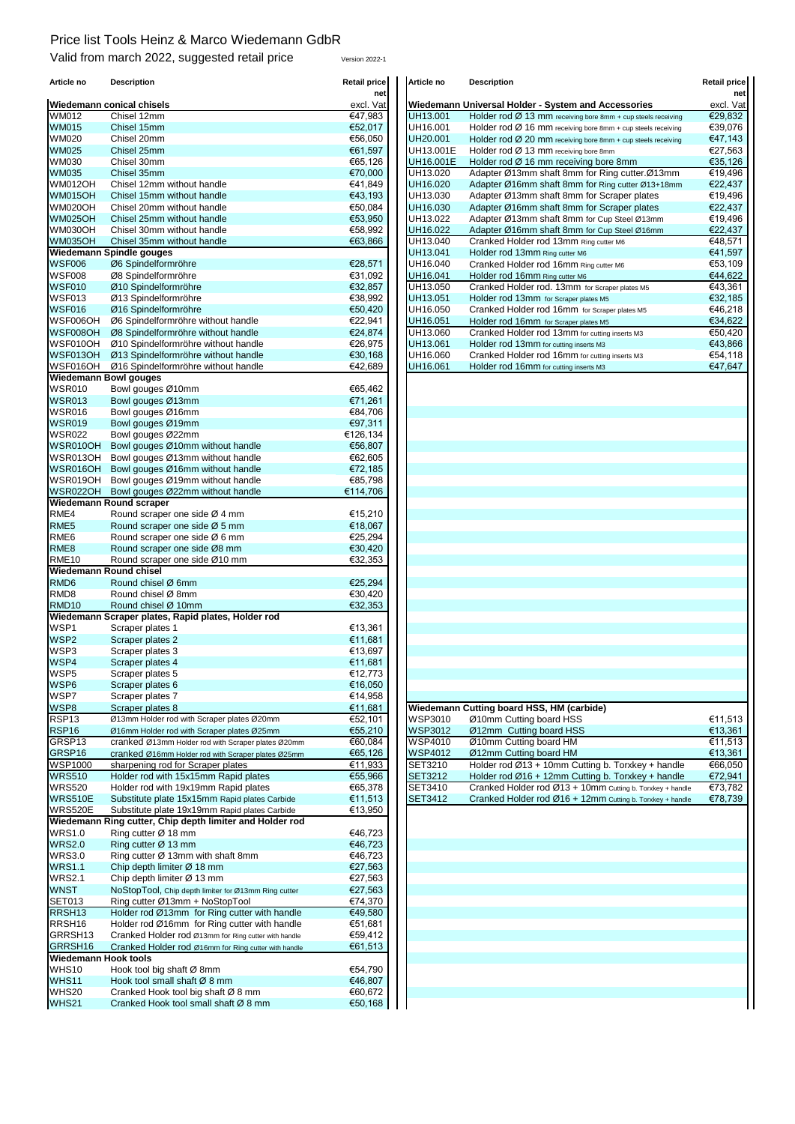## Price list Tools Heinz & Marco Wiedemann GdbR

Valid from march 2022, suggested retail price version 2022-1

| Article no                  | Description                                          | Retail price | Article no     | <b>Description</b>                                                       | Retail price |
|-----------------------------|------------------------------------------------------|--------------|----------------|--------------------------------------------------------------------------|--------------|
|                             |                                                      | net          |                |                                                                          | ne           |
|                             | <b>Wiedemann conical chisels</b>                     | excl. Vat    |                | Wiedemann Universal Holder - System and Accessories                      | excl. Va     |
| <b>WM012</b>                | Chisel 12mm                                          | €47,983      | UH13.001       | Holder rod $\varnothing$ 13 mm receiving bore 8mm + cup steels receiving | €29,832      |
| <b>WM015</b>                | Chisel 15mm                                          | €52,017      | UH16.001       | Holder rod $\varnothing$ 16 mm receiving bore 8mm + cup steels receiving | €39.076      |
| <b>WM020</b>                | Chisel 20mm                                          | €56,050      | UH20.001       | Holder rod Ø 20 mm receiving bore 8mm + cup steels receiving             | €47,143      |
| <b>WM025</b>                | Chisel 25mm                                          | €61,597      | UH13.001E      | Holder rod Ø 13 mm receiving bore 8mm                                    | €27,563      |
| WM030                       | Chisel 30mm                                          | €65,126      | UH16.001E      | Holder rod Ø 16 mm receiving bore 8mm                                    | €35,126      |
| <b>WM035</b>                | Chisel 35mm                                          | €70,000      | UH13.020       | Adapter Ø13mm shaft 8mm for Ring cutter.Ø13mm                            | €19.496      |
| <b>WM012OH</b>              | Chisel 12mm without handle                           | €41,849      | UH16.020       | Adapter Ø16mm shaft 8mm for Ring cutter Ø13+18mm                         | €22,437      |
| <b>WM015OH</b>              | Chisel 15mm without handle                           | €43,193      | UH13.030       | Adapter Ø13mm shaft 8mm for Scraper plates                               | €19,496      |
| <b>WM020OH</b>              | Chisel 20mm without handle                           | €50,084      | UH16.030       |                                                                          |              |
|                             |                                                      |              |                | Adapter Ø16mm shaft 8mm for Scraper plates                               | €22,437      |
| <b>WM025OH</b>              | Chisel 25mm without handle                           | €53,950      | UH13.022       | Adapter Ø13mm shaft 8mm for Cup Steel Ø13mm                              | €19,496      |
| <b>WM030OH</b>              | Chisel 30mm without handle                           | €58,992      | UH16.022       | Adapter Ø16mm shaft 8mm for Cup Steel Ø16mm                              | €22,437      |
| <b>WM035OH</b>              | Chisel 35mm without handle                           | €63,866      | UH13.040       | Cranked Holder rod 13mm Ring cutter M6                                   | €48,571      |
|                             | Wiedemann Spindle gouges                             |              | UH13.041       | Holder rod 13mm Ring cutter M6                                           | €41,597      |
| <b>WSF006</b>               | Ø6 Spindelformröhre                                  | €28,571      | UH16.040       | Cranked Holder rod 16mm Ring cutter M6                                   | €53,109      |
| <b>WSF008</b>               | Ø8 Spindelformröhre                                  | €31,092      | UH16.041       | Holder rod 16mm Ring cutter M6                                           | €44,622      |
| <b>WSF010</b>               | Ø10 Spindelformröhre                                 | €32,857      | UH13.050       | Cranked Holder rod. 13mm for Scraper plates M5                           | €43,361      |
| WSF013                      | Ø13 Spindelformröhre                                 | €38,992      | UH13.051       | Holder rod 13mm for Scraper plates M5                                    | €32,185      |
| <b>WSF016</b>               | Ø16 Spindelformröhre                                 | €50,420      | UH16.050       | Cranked Holder rod 16mm for Scraper plates M5                            | €46,218      |
| WSF006OH                    | Ø6 Spindelformröhre without handle                   | €22,941      | UH16.051       | Holder rod 16mm for Scraper plates M5                                    | €34,622      |
| WSF008OH                    | Ø8 Spindelformröhre without handle                   | €24,874      | UH13.060       | Cranked Holder rod 13mm for cutting inserts M3                           | €50,420      |
|                             |                                                      |              |                |                                                                          |              |
| WSF010OH                    | Ø10 Spindelformröhre without handle                  | €26,975      | UH13.061       | Holder rod 13mm for cutting inserts M3                                   | €43,866      |
| WSF013OH                    | Ø13 Spindelformröhre without handle                  | €30,168      | UH16.060       | Cranked Holder rod 16mm for cutting inserts M3                           | €54,118      |
| WSF016OH                    | Ø16 Spindelformröhre without handle                  | €42,689      | UH16.061       | Holder rod 16mm for cutting inserts M3                                   | €47,647      |
|                             | <b>Wiedemann Bowl gouges</b>                         |              |                |                                                                          |              |
| <b>WSR010</b>               | Bowl gouges Ø10mm                                    | €65,462      |                |                                                                          |              |
| <b>WSR013</b>               | Bowl gouges Ø13mm                                    | €71,261      |                |                                                                          |              |
| <b>WSR016</b>               | Bowl gouges Ø16mm                                    | €84.706      |                |                                                                          |              |
| <b>WSR019</b>               | Bowl gouges Ø19mm                                    | €97,311      |                |                                                                          |              |
| <b>WSR022</b>               | Bowl gouges Ø22mm                                    | €126,134     |                |                                                                          |              |
| WSR010OH                    |                                                      | €56,807      |                |                                                                          |              |
|                             | Bowl gouges Ø10mm without handle                     |              |                |                                                                          |              |
| WSR013OH                    | Bowl gouges Ø13mm without handle                     | €62,605      |                |                                                                          |              |
| WSR016OH                    | Bowl gouges Ø16mm without handle                     | €72,185      |                |                                                                          |              |
| WSR019OH                    | Bowl gouges Ø19mm without handle                     | €85,798      |                |                                                                          |              |
| <b>WSR022OH</b>             | Bowl gouges Ø22mm without handle                     | €114,706     |                |                                                                          |              |
|                             | <b>Wiedemann Round scraper</b>                       |              |                |                                                                          |              |
| RME4                        | Round scraper one side Ø 4 mm                        | €15,210      |                |                                                                          |              |
| RME <sub>5</sub>            | Round scraper one side Ø 5 mm                        | €18,067      |                |                                                                          |              |
| RME <sub>6</sub>            | Round scraper one side Ø 6 mm                        | €25,294      |                |                                                                          |              |
| RME <sub>8</sub>            | Round scraper one side Ø8 mm                         | €30,420      |                |                                                                          |              |
| <b>RME10</b>                | Round scraper one side Ø10 mm                        | €32,353      |                |                                                                          |              |
|                             |                                                      |              |                |                                                                          |              |
|                             | Wiedemann Round chisel                               |              |                |                                                                          |              |
| RMD <sub>6</sub>            | Round chisel Ø 6mm                                   | €25,294      |                |                                                                          |              |
| RMD <sub>8</sub>            | Round chisel Ø 8mm                                   | €30,420      |                |                                                                          |              |
| RMD <sub>10</sub>           | Round chisel Ø 10mm                                  | €32,353      |                |                                                                          |              |
|                             | Wiedemann Scraper plates, Rapid plates, Holder rod   |              |                |                                                                          |              |
| WSP1                        | Scraper plates 1                                     | €13,361      |                |                                                                          |              |
| WSP2                        | Scraper plates 2                                     | €11,681      |                |                                                                          |              |
| WSP3                        | Scraper plates 3                                     | €13,697      |                |                                                                          |              |
| WSP4                        | Scraper plates 4                                     | €11,681      |                |                                                                          |              |
| WSP5                        | Scraper plates 5                                     | €12,773      |                |                                                                          |              |
| WSP6                        | Scraper plates 6                                     | €16,050      |                |                                                                          |              |
| WSP7                        | Scraper plates 7                                     | €14,958      |                |                                                                          |              |
| WSP8                        | Scraper plates 8                                     | €11,681      |                | Wiedemann Cutting board HSS, HM (carbide)                                |              |
|                             |                                                      |              |                |                                                                          |              |
| RSP <sub>13</sub>           | Ø13mm Holder rod with Scraper plates Ø20mm           | €52,101      | <b>WSP3010</b> | Ø10mm Cutting board HSS                                                  | €11,513      |
| RSP <sub>16</sub>           | Ø16mm Holder rod with Scraper plates Ø25mm           | €55,210      | <b>WSP3012</b> | Ø12mm Cutting board HSS                                                  | €13,361      |
| GRSP13                      | cranked Ø13mm Holder rod with Scraper plates Ø20mm   | €60,084      | <b>WSP4010</b> | Ø10mm Cutting board HM                                                   | €11,513      |
| GRSP16                      | cranked Ø16mm Holder rod with Scraper plates Ø25mm   | €65,126      | <b>WSP4012</b> | Ø12mm Cutting board HM                                                   | €13,361      |
| <b>WSP1000</b>              | sharpening rod for Scraper plates                    | €11,933      | SET3210        | Holder rod Ø13 + 10mm Cutting b. Torxkey + handle                        | €66,050      |
| <b>WRS510</b>               | Holder rod with 15x15mm Rapid plates                 | €55,966      | <b>SET3212</b> | Holder rod $Ø16 + 12mm$ Cutting b. Torxkey + handle                      | €72,941      |
| <b>WRS520</b>               | Holder rod with 19x19mm Rapid plates                 | €65,378      | SET3410        | Cranked Holder rod Ø13 + 10mm Cutting b. Torxkey + handle                | €73,782      |
| <b>WRS510E</b>              | Substitute plate 15x15mm Rapid plates Carbide        | €11,513      | SET3412        | Cranked Holder rod Ø16 + 12mm Cutting b. Torxkey + handle                | €78,739      |
| <b>WRS520E</b>              | Substitute plate 19x19mm Rapid plates Carbide        | €13,950      |                |                                                                          |              |
| Wiedemann                   | Ring cutter, Chip depth limiter and Holder rod       |              |                |                                                                          |              |
|                             |                                                      |              |                |                                                                          |              |
| <b>WRS1.0</b>               | Ring cutter Ø 18 mm                                  | €46,723      |                |                                                                          |              |
| <b>WRS2.0</b>               | Ring cutter Ø 13 mm                                  | €46,723      |                |                                                                          |              |
| <b>WRS3.0</b>               | Ring cutter Ø 13mm with shaft 8mm                    | €46,723      |                |                                                                          |              |
| <b>WRS1.1</b>               | Chip depth limiter Ø 18 mm                           | €27,563      |                |                                                                          |              |
| <b>WRS2.1</b>               | Chip depth limiter Ø 13 mm                           | €27,563      |                |                                                                          |              |
| <b>WNST</b>                 | NoStopTool, Chip depth limiter for Ø13mm Ring cutter | €27,563      |                |                                                                          |              |
|                             | Ring cutter Ø13mm + NoStopTool                       | €74,370      |                |                                                                          |              |
| <b>SET013</b>               |                                                      | €49,580      |                |                                                                          |              |
|                             |                                                      |              |                |                                                                          |              |
| RRSH <sub>13</sub>          | Holder rod Ø13mm for Ring cutter with handle         |              |                |                                                                          |              |
| RRSH <sub>16</sub>          | Holder rod Ø16mm for Ring cutter with handle         | €51,681      |                |                                                                          |              |
| GRRSH13                     | Cranked Holder rod Ø13mm for Ring cutter with handle | €59,412      |                |                                                                          |              |
| GRRSH16                     | Cranked Holder rod Ø16mm for Ring cutter with handle | €61,513      |                |                                                                          |              |
| <b>Wiedemann Hook tools</b> |                                                      |              |                |                                                                          |              |
| WHS10                       | Hook tool big shaft Ø 8mm                            | €54,790      |                |                                                                          |              |
| WHS11                       | Hook tool small shaft Ø 8 mm                         | €46,807      |                |                                                                          |              |
| WHS20                       | Cranked Hook tool big shaft Ø 8 mm                   | €60,672      |                |                                                                          |              |

| Articie no           | Description                                              | <b>Retall price</b><br>net | Articie no     | <b>Description</b>                                                       | <b>Retail price</b><br>net |
|----------------------|----------------------------------------------------------|----------------------------|----------------|--------------------------------------------------------------------------|----------------------------|
|                      | Wiedemann conical chisels                                | excl. Vat                  |                | Wiedemann Universal Holder - System and Accessories                      | excl. Vat                  |
| WM012                | Chisel 12mm                                              | €47,983                    | UH13.001       | Holder rod Ø 13 mm receiving bore 8mm + cup steels receiving             | €29,832                    |
| WM015                | Chisel 15mm                                              | €52,017                    | UH16.001       | Holder rod $\varnothing$ 16 mm receiving bore 8mm + cup steels receiving | €39,076                    |
| WM020                | Chisel 20mm                                              | €56,050                    | UH20.001       | Holder rod $\varnothing$ 20 mm receiving bore 8mm + cup steels receiving | €47,143                    |
| WM025                | Chisel 25mm                                              | €61,597                    | UH13.001E      | Holder rod Ø 13 mm receiving bore 8mm                                    | €27,563                    |
| WM030                | Chisel 30mm                                              | €65,126                    | UH16.001E      | Holder rod Ø 16 mm receiving bore 8mm                                    | €35,126                    |
| WM035                | Chisel 35mm                                              | €70,000                    | UH13.020       | Adapter Ø13mm shaft 8mm for Ring cutter.Ø13mm                            | €19,496                    |
| WM012OH              | Chisel 12mm without handle                               | €41,849                    | UH16.020       | Adapter Ø16mm shaft 8mm for Ring cutter Ø13+18mm                         | €22,437                    |
| WM015OH              | Chisel 15mm without handle                               | €43,193                    | UH13.030       | Adapter Ø13mm shaft 8mm for Scraper plates                               | €19,496                    |
| WM020OH              | Chisel 20mm without handle                               | €50,084                    | UH16.030       | Adapter Ø16mm shaft 8mm for Scraper plates                               | €22,437                    |
| WM025OH              | Chisel 25mm without handle                               | €53,950                    | UH13.022       | Adapter Ø13mm shaft 8mm for Cup Steel Ø13mm                              | €19,496                    |
| WM030OH              | Chisel 30mm without handle                               | €58,992                    | UH16.022       | Adapter Ø16mm shaft 8mm for Cup Steel Ø16mm                              | €22,437                    |
| <b>WM035OH</b>       | Chisel 35mm without handle                               | €63,866                    | UH13.040       | Cranked Holder rod 13mm Ring cutter M6                                   | €48,571                    |
|                      | Wiedemann Spindle gouges                                 |                            | UH13.041       | Holder rod 13mm Ring cutter M6                                           | €41,597                    |
| <b>WSF006</b>        | Ø6 Spindelformröhre                                      | €28,571                    | UH16.040       | Cranked Holder rod 16mm Ring cutter M6                                   | €53,109                    |
| WSF008               | Ø8 Spindelformröhre                                      | €31,092                    | UH16.041       | Holder rod 16mm Ring cutter M6                                           | €44,622                    |
| WSF010               | Ø10 Spindelformröhre                                     | €32,857                    | UH13.050       | Cranked Holder rod. 13mm for Scraper plates M5                           | €43,361                    |
| WSF013               | Ø13 Spindelformröhre                                     | €38,992                    | UH13.051       | Holder rod 13mm for Scraper plates M5                                    | €32,185                    |
| WSF016               | Ø16 Spindelformröhre                                     | €50,420                    | UH16.050       | Cranked Holder rod 16mm for Scraper plates M5                            | €46,218                    |
| WSF006OH             | Ø6 Spindelformröhre without handle                       | €22,941                    | UH16.051       | Holder rod 16mm for Scraper plates M5                                    | €34,622                    |
| WSF008OH             | Ø8 Spindelformröhre without handle                       | €24,874                    | UH13.060       | Cranked Holder rod 13mm for cutting inserts M3                           | €50,420                    |
| WSF010OH             | Ø10 Spindelformröhre without handle                      | €26,975                    | UH13.061       | Holder rod 13mm for cutting inserts M3                                   | €43,866                    |
| WSF013OH             | Ø13 Spindelformröhre without handle                      | €30,168                    | UH16.060       | Cranked Holder rod 16mm for cutting inserts M3                           | €54,118                    |
| WSF016OH             | Ø16 Spindelformröhre without handle                      | €42,689                    | UH16.061       | Holder rod 16mm for cutting inserts M3                                   | €47,647                    |
|                      | Wiedemann Bowl gouges                                    |                            |                |                                                                          |                            |
| <b>WSR010</b>        | Bowl gouges Ø10mm                                        | €65,462                    |                |                                                                          |                            |
| WSR013               | Bowl gouges Ø13mm                                        | €71,261                    |                |                                                                          |                            |
| WSR016               | Bowl gouges Ø16mm                                        | €84,706                    |                |                                                                          |                            |
| WSR019               | Bowl gouges Ø19mm                                        | €97,311                    |                |                                                                          |                            |
| WSR022               | Bowl gouges Ø22mm                                        | €126,134                   |                |                                                                          |                            |
| WSR010OH             | Bowl gouges Ø10mm without handle                         | €56,807                    |                |                                                                          |                            |
| WSR013OH             | Bowl gouges Ø13mm without handle                         | €62,605                    |                |                                                                          |                            |
| WSR016OH             | Bowl gouges Ø16mm without handle                         | €72,185                    |                |                                                                          |                            |
| WSR019OH             | Bowl gouges Ø19mm without handle                         | €85,798                    |                |                                                                          |                            |
| WSR022OH             | Bowl gouges Ø22mm without handle                         | €114,706                   |                |                                                                          |                            |
|                      | Wiedemann Round scraper                                  |                            |                |                                                                          |                            |
| RME4                 | Round scraper one side Ø 4 mm                            | €15,210                    |                |                                                                          |                            |
| RME5                 | Round scraper one side Ø 5 mm                            | €18,067                    |                |                                                                          |                            |
| RME6                 | Round scraper one side Ø 6 mm                            | €25,294                    |                |                                                                          |                            |
| RME8                 | Round scraper one side Ø8 mm                             | €30,420                    |                |                                                                          |                            |
| RME10                | Round scraper one side Ø10 mm                            | €32,353                    |                |                                                                          |                            |
|                      | Wiedemann Round chisel                                   |                            |                |                                                                          |                            |
| RMD6                 | Round chisel Ø 6mm                                       | €25,294                    |                |                                                                          |                            |
| RMD8                 | Round chisel Ø 8mm                                       | €30,420                    |                |                                                                          |                            |
| RMD <sub>10</sub>    | Round chisel Ø 10mm                                      | €32,353                    |                |                                                                          |                            |
|                      | Wiedemann Scraper plates, Rapid plates, Holder rod       |                            |                |                                                                          |                            |
| WSP1                 | Scraper plates 1                                         | €13,361                    |                |                                                                          |                            |
| WSP2                 | Scraper plates 2                                         | €11,681                    |                |                                                                          |                            |
| WSP3                 | Scraper plates 3                                         | €13,697                    |                |                                                                          |                            |
| WSP4                 | Scraper plates 4                                         | €11,681                    |                |                                                                          |                            |
| WSP5                 | Scraper plates 5                                         | €12,773                    |                |                                                                          |                            |
| WSP6                 | Scraper plates 6                                         | €16,050                    |                |                                                                          |                            |
| WSP7                 | Scraper plates 7                                         | €14,958                    |                |                                                                          |                            |
| WSP8                 | Scraper plates 8                                         | €11,681                    |                | Wiedemann Cutting board HSS, HM (carbide)                                |                            |
| RSP13                | Ø13mm Holder rod with Scraper plates Ø20mm               | €52,101                    | <b>WSP3010</b> | Ø10mm Cutting board HSS                                                  | €11,513                    |
| RSP16                | Ø16mm Holder rod with Scraper plates Ø25mm               | €55,210                    | <b>WSP3012</b> | Ø12mm Cutting board HSS                                                  | €13,361                    |
| GRSP13               | cranked Ø13mm Holder rod with Scraper plates Ø20mm       | €60,084                    | <b>WSP4010</b> | Ø10mm Cutting board HM                                                   | €11,513                    |
| GRSP16               | cranked Ø16mm Holder rod with Scraper plates Ø25mm       | €65,126                    | <b>WSP4012</b> | Ø12mm Cutting board HM                                                   | €13,361                    |
| WSP1000              | sharpening rod for Scraper plates                        | €11,933                    | SET3210        | Holder rod Ø13 + 10mm Cutting b. Torxkey + handle                        | €66,050                    |
| WRS510               | Holder rod with 15x15mm Rapid plates                     | €55,966                    | <b>SET3212</b> | Holder rod $\emptyset$ 16 + 12mm Cutting b. Torxkey + handle             | €72,941                    |
| WRS520               | Holder rod with 19x19mm Rapid plates                     | €65,378                    | SET3410        | Cranked Holder rod Ø13 + 10mm Cutting b. Torxkey + handle                | €73,782                    |
| WRS510E              | Substitute plate 15x15mm Rapid plates Carbide            | €11,513                    | <b>SET3412</b> | Cranked Holder rod Ø16 + 12mm Cutting b. Torxkey + handle                | €78,739                    |
| WRS520E              | Substitute plate 19x19mm Rapid plates Carbide            | €13,950                    |                |                                                                          |                            |
|                      | Wiedemann Ring cutter, Chip depth limiter and Holder rod |                            |                |                                                                          |                            |
| WRS1.0               | Ring cutter Ø 18 mm                                      | €46,723                    |                |                                                                          |                            |
| WRS2.0               | Ring cutter Ø 13 mm                                      | €46,723                    |                |                                                                          |                            |
| WRS3.0               | Ring cutter Ø 13mm with shaft 8mm                        | €46,723                    |                |                                                                          |                            |
| WRS1.1               | Chip depth limiter Ø 18 mm                               | €27,563                    |                |                                                                          |                            |
| WRS2.1               | Chip depth limiter $\varnothing$ 13 mm                   | €27,563                    |                |                                                                          |                            |
| WNST                 | NoStopTool, Chip depth limiter for Ø13mm Ring cutter     | €27,563                    |                |                                                                          |                            |
| SET013               | Ring cutter Ø13mm + NoStopTool                           | €74,370                    |                |                                                                          |                            |
| RRSH13               | Holder rod Ø13mm for Ring cutter with handle             | €49,580                    |                |                                                                          |                            |
| RRSH16               | Holder rod Ø16mm for Ring cutter with handle             | €51,681                    |                |                                                                          |                            |
| GRRSH13              | Cranked Holder rod Ø13mm for Ring cutter with handle     | €59,412                    |                |                                                                          |                            |
| GRRSH16              | Cranked Holder rod Ø16mm for Ring cutter with handle     | €61,513                    |                |                                                                          |                            |
| Wiedemann Hook tools |                                                          |                            |                |                                                                          |                            |
| WHS10                | Hook tool big shaft Ø 8mm                                | €54,790                    |                |                                                                          |                            |
| WHS11                | Hook tool small shaft Ø 8 mm                             | €46,807                    |                |                                                                          |                            |
| WHS20                | Cranked Hook tool big shaft Ø 8 mm                       | €60,672                    |                |                                                                          |                            |
| WHS21                | Cranked Hook tool small shaft Ø 8 mm                     | €50,168                    |                |                                                                          |                            |